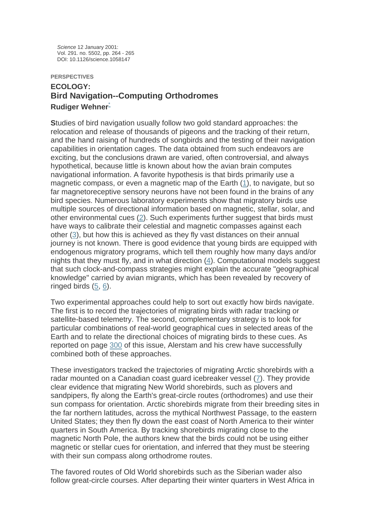*Science* 12 January 2001: Vol. 291. no. 5502, pp. 264 - 265 DOI: 10.1126/science.1058147

## **PERSPECTIVES ECOLOGY: Bird Navigation--Computing Orthodromes Rudiger Wehner**[\\*](http://www.sciencemag.org/cgi/content/full/291/5502/264?maxtoshow=&HITS=10&hits=10&RESULTFORMAT=&author1=wehner&andorexacttitleabs=and&andorexactfulltext=and&searchid=1&FIRSTINDEX=0&resourcetype=HWCIT#affiliation#affiliation)

**S**tudies of bird navigation usually follow two gold standard approaches: the relocation and release of thousands of pigeons and the tracking of their return, and the hand raising of hundreds of songbirds and the testing of their navigation capabilities in orientation cages. The data obtained from such endeavors are exciting, but the conclusions drawn are varied, often controversial, and always hypothetical, because little is known about how the avian brain computes navigational information. A favorite hypothesis is that birds primarily use a magnetic compass, or even a magnetic map of the Earth [\(1](http://www.sciencemag.org/cgi/content/full/291/5502/264?maxtoshow=&HITS=10&hits=10&RESULTFORMAT=&author1=wehner&andorexacttitleabs=and&andorexactfulltext=and&searchid=1&FIRSTINDEX=0&resourcetype=HWCIT#ref1#ref1)), to navigate, but so far magnetoreceptive sensory neurons have not been found in the brains of any bird species. Numerous laboratory experiments show that migratory birds use multiple sources of directional information based on magnetic, stellar, solar, and other environmental cues [\(2](http://www.sciencemag.org/cgi/content/full/291/5502/264?maxtoshow=&HITS=10&hits=10&RESULTFORMAT=&author1=wehner&andorexacttitleabs=and&andorexactfulltext=and&searchid=1&FIRSTINDEX=0&resourcetype=HWCIT#ref2#ref2)). Such experiments further suggest that birds must have ways to calibrate their celestial and magnetic compasses against each other [\(3\)](http://www.sciencemag.org/cgi/content/full/291/5502/264?maxtoshow=&HITS=10&hits=10&RESULTFORMAT=&author1=wehner&andorexacttitleabs=and&andorexactfulltext=and&searchid=1&FIRSTINDEX=0&resourcetype=HWCIT#ref3#ref3), but how this is achieved as they fly vast distances on their annual journey is not known. There is good evidence that young birds are equipped with endogenous migratory programs, which tell them roughly how many days and/or nights that they must fly, and in what direction [\(4](http://www.sciencemag.org/cgi/content/full/291/5502/264?maxtoshow=&HITS=10&hits=10&RESULTFORMAT=&author1=wehner&andorexacttitleabs=and&andorexactfulltext=and&searchid=1&FIRSTINDEX=0&resourcetype=HWCIT#ref4#ref4)). Computational models suggest that such clock-and-compass strategies might explain the accurate "geographical knowledge" carried by avian migrants, which has been revealed by recovery of ringed birds [\(5](http://www.sciencemag.org/cgi/content/full/291/5502/264?maxtoshow=&HITS=10&hits=10&RESULTFORMAT=&author1=wehner&andorexacttitleabs=and&andorexactfulltext=and&searchid=1&FIRSTINDEX=0&resourcetype=HWCIT#ref5#ref5), [6](http://www.sciencemag.org/cgi/content/full/291/5502/264?maxtoshow=&HITS=10&hits=10&RESULTFORMAT=&author1=wehner&andorexacttitleabs=and&andorexactfulltext=and&searchid=1&FIRSTINDEX=0&resourcetype=HWCIT#ref6#ref6)).

Two experimental approaches could help to sort out exactly how birds navigate. The first is to record the trajectories of migrating birds with radar tracking or satellite-based telemetry. The second, complementary strategy is to look for particular combinations of real-world geographical cues in selected areas of the Earth and to relate the directional choices of migrating birds to these cues. As reported on page [300](http://www.sciencemag.org/cgi/content/short/291/5502/300) of this issue, Alerstam and his crew have successfully combined both of these approaches.

These investigators tracked the trajectories of migrating Arctic shorebirds with a radar mounted on a Canadian coast guard icebreaker vessel ([7\)](http://www.sciencemag.org/cgi/content/full/291/5502/264?maxtoshow=&HITS=10&hits=10&RESULTFORMAT=&author1=wehner&andorexacttitleabs=and&andorexactfulltext=and&searchid=1&FIRSTINDEX=0&resourcetype=HWCIT#ref7#ref7). They provide clear evidence that migrating New World shorebirds, such as plovers and sandpipers, fly along the Earth's great-circle routes (orthodromes) and use their sun compass for orientation. Arctic shorebirds migrate from their breeding sites in the far northern latitudes, across the mythical Northwest Passage, to the eastern United States; they then fly down the east coast of North America to their winter quarters in South America. By tracking shorebirds migrating close to the magnetic North Pole, the authors knew that the birds could not be using either magnetic or stellar cues for orientation, and inferred that they must be steering with their sun compass along orthodrome routes.

The favored routes of Old World shorebirds such as the Siberian wader also follow great-circle courses. After departing their winter quarters in West Africa in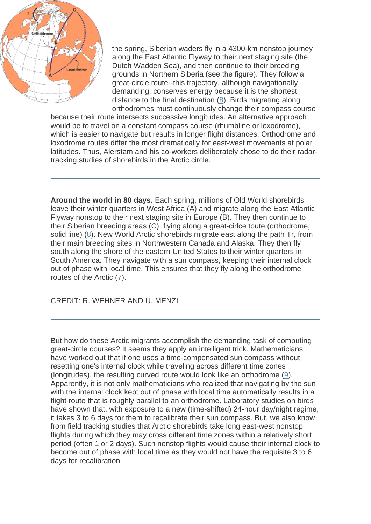

the spring, Siberian waders fly in a 4300-km nonstop journey along the East Atlantic Flyway to their next staging site (the Dutch Wadden Sea), and then continue to their breeding grounds in Northern Siberia (see the figure). They follow a great-circle route--this trajectory, although navigationally demanding, conserves energy because it is the shortest distance to the final destination [\(8\)](http://www.sciencemag.org/cgi/content/full/291/5502/264?maxtoshow=&HITS=10&hits=10&RESULTFORMAT=&author1=wehner&andorexacttitleabs=and&andorexactfulltext=and&searchid=1&FIRSTINDEX=0&resourcetype=HWCIT#ref8#ref8). Birds migrating along orthodromes must continuously change their compass course

because their route intersects successive longitudes. An alternative approach would be to travel on a constant compass course (rhumbline or loxodrome), which is easier to navigate but results in longer flight distances. Orthodrome and loxodrome routes differ the most dramatically for east-west movements at polar latitudes. Thus, Alerstam and his co-workers deliberately chose to do their radartracking studies of shorebirds in the Arctic circle.

**[A](http://www.sciencemag.org/cgi/content/full/291/5502/264/F1)round the world in 80 days.** [Each spring, millions of Old World shorebirds](http://www.sciencemag.org/cgi/content/full/291/5502/264/F1)  [leave their winter quarters in West Africa \(A\) and migrate along the East Atlantic](http://www.sciencemag.org/cgi/content/full/291/5502/264/F1)  [Flyway nonstop to their next staging site in Europe \(B\). They then continue to](http://www.sciencemag.org/cgi/content/full/291/5502/264/F1)  [their Siberian breeding areas \(C\), flying along a great-cirlce toute \(orthodrome,](http://www.sciencemag.org/cgi/content/full/291/5502/264/F1)  [solid line\) \(](http://www.sciencemag.org/cgi/content/full/291/5502/264/F1)[8\). New World Arctic shorebirds migrate east along the path Tr, from](http://www.sciencemag.org/cgi/content/full/291/5502/264?maxtoshow=&HITS=10&hits=10&RESULTFORMAT=&author1=wehner&andorexacttitleabs=and&andorexactfulltext=and&searchid=1&FIRSTINDEX=0&resourcetype=HWCIT#ref8#ref8)  [their main breeding sites in Northwestern Canada and Alaska. They then fly](http://www.sciencemag.org/cgi/content/full/291/5502/264?maxtoshow=&HITS=10&hits=10&RESULTFORMAT=&author1=wehner&andorexacttitleabs=and&andorexactfulltext=and&searchid=1&FIRSTINDEX=0&resourcetype=HWCIT#ref8#ref8)  [south along the shore of the eastern United States to their winter quarters in](http://www.sciencemag.org/cgi/content/full/291/5502/264?maxtoshow=&HITS=10&hits=10&RESULTFORMAT=&author1=wehner&andorexacttitleabs=and&andorexactfulltext=and&searchid=1&FIRSTINDEX=0&resourcetype=HWCIT#ref8#ref8)  [South America. They navigate with a sun compass, keeping their internal clock](http://www.sciencemag.org/cgi/content/full/291/5502/264?maxtoshow=&HITS=10&hits=10&RESULTFORMAT=&author1=wehner&andorexacttitleabs=and&andorexactfulltext=and&searchid=1&FIRSTINDEX=0&resourcetype=HWCIT#ref8#ref8)  [out of phase with local time. This ensures that they fly along the orthodrome](http://www.sciencemag.org/cgi/content/full/291/5502/264?maxtoshow=&HITS=10&hits=10&RESULTFORMAT=&author1=wehner&andorexacttitleabs=and&andorexactfulltext=and&searchid=1&FIRSTINDEX=0&resourcetype=HWCIT#ref8#ref8)  [routes of the Arctic \(](http://www.sciencemag.org/cgi/content/full/291/5502/264?maxtoshow=&HITS=10&hits=10&RESULTFORMAT=&author1=wehner&andorexacttitleabs=and&andorexactfulltext=and&searchid=1&FIRSTINDEX=0&resourcetype=HWCIT#ref8#ref8)[7\).](http://www.sciencemag.org/cgi/content/full/291/5502/264?maxtoshow=&HITS=10&hits=10&RESULTFORMAT=&author1=wehner&andorexacttitleabs=and&andorexactfulltext=and&searchid=1&FIRSTINDEX=0&resourcetype=HWCIT#ref7#ref7) 

CREDIT: R. WEHNER AND U. MENZI

But how do these Arctic migrants accomplish the demanding task of computing great-circle courses? It seems they apply an intelligent trick. Mathematicians have worked out that if one uses a time-compensated sun compass without resetting one's internal clock while traveling across different time zones (longitudes), the resulting curved route would look like an orthodrome [\(9\)](http://www.sciencemag.org/cgi/content/full/291/5502/264?maxtoshow=&HITS=10&hits=10&RESULTFORMAT=&author1=wehner&andorexacttitleabs=and&andorexactfulltext=and&searchid=1&FIRSTINDEX=0&resourcetype=HWCIT#ref9#ref9). Apparently, it is not only mathematicians who realized that navigating by the sun with the internal clock kept out of phase with local time automatically results in a flight route that is roughly parallel to an orthodrome. Laboratory studies on birds have shown that, with exposure to a new (time-shifted) 24-hour day/night regime, it takes 3 to 6 days for them to recalibrate their sun compass. But, we also know from field tracking studies that Arctic shorebirds take long east-west nonstop flights during which they may cross different time zones within a relatively short period (often 1 or 2 days). Such nonstop flights would cause their internal clock to become out of phase with local time as they would not have the requisite 3 to 6 days for recalibration.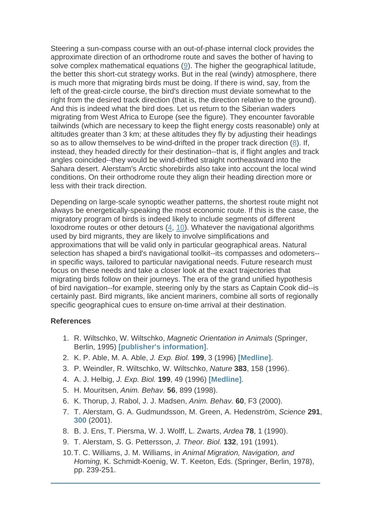Steering a sun-compass course with an out-of-phase internal clock provides the approximate direction of an orthodrome route and saves the bother of having to solve complex mathematical equations ([9](http://www.sciencemag.org/cgi/content/full/291/5502/264?maxtoshow=&HITS=10&hits=10&RESULTFORMAT=&author1=wehner&andorexacttitleabs=and&andorexactfulltext=and&searchid=1&FIRSTINDEX=0&resourcetype=HWCIT#ref9#ref9)). The higher the geographical latitude, the better this short-cut strategy works. But in the real (windy) atmosphere, there is much more that migrating birds must be doing. If there is wind, say, from the left of the great-circle course, the bird's direction must deviate somewhat to the right from the desired track direction (that is, the direction relative to the ground). And this is indeed what the bird does. Let us return to the Siberian waders migrating from West Africa to Europe (see the figure). They encounter favorable tailwinds (which are necessary to keep the flight energy costs reasonable) only at altitudes greater than 3 km; at these altitudes they fly by adjusting their headings so as to allow themselves to be wind-drifted in the proper track direction ([8](http://www.sciencemag.org/cgi/content/full/291/5502/264?maxtoshow=&HITS=10&hits=10&RESULTFORMAT=&author1=wehner&andorexacttitleabs=and&andorexactfulltext=and&searchid=1&FIRSTINDEX=0&resourcetype=HWCIT#ref8#ref8)). If, instead, they headed directly for their destination--that is, if flight angles and track angles coincided--they would be wind-drifted straight northeastward into the Sahara desert. Alerstam's Arctic shorebirds also take into account the local wind conditions. On their orthodrome route they align their heading direction more or less with their track direction.

Depending on large-scale synoptic weather patterns, the shortest route might not always be energetically-speaking the most economic route. If this is the case, the migratory program of birds is indeed likely to include segments of different loxodrome routes or other detours [\(4](http://www.sciencemag.org/cgi/content/full/291/5502/264?maxtoshow=&HITS=10&hits=10&RESULTFORMAT=&author1=wehner&andorexacttitleabs=and&andorexactfulltext=and&searchid=1&FIRSTINDEX=0&resourcetype=HWCIT#ref4#ref4), [10](http://www.sciencemag.org/cgi/content/full/291/5502/264?maxtoshow=&HITS=10&hits=10&RESULTFORMAT=&author1=wehner&andorexacttitleabs=and&andorexactfulltext=and&searchid=1&FIRSTINDEX=0&resourcetype=HWCIT#ref10#ref10)). Whatever the navigational algorithms used by bird migrants, they are likely to involve simplifications and approximations that will be valid only in particular geographical areas. Natural selection has shaped a bird's navigational toolkit--its compasses and odometers- in specific ways, tailored to particular navigational needs. Future research must focus on these needs and take a closer look at the exact trajectories that migrating birds follow on their journeys. The era of the grand unified hypothesis of bird navigation--for example, steering only by the stars as Captain Cook did--is certainly past. Bird migrants, like ancient mariners, combine all sorts of regionally specific geographical cues to ensure on-time arrival at their destination.

## **References**

- 1. R. Wiltschko, W. Wiltschko, *Magnetic Orientation in Animals* (Springer, Berlin, 1995) **[\[publisher's information\]](http://www.springer-ny.com/detail.tpl?cart=97871620012365468&ISBN=3540592571)**.
- 2. K. P. Able, M. A. Able, *J. Exp. Biol.* **199**, 3 (1996) **[\[Medline\]](http://www.sciencemag.org/cgi/external_ref?link_type=MED&access_num=9317228)**.
- 3. P. Weindler, R. Wiltschko, W. Wiltschko, *Nature* **383**, 158 (1996).
- 4. A. J. Helbig, *J. Exp. Biol.* **199**, 49 (1996) **[\[Medline\]](http://www.sciencemag.org/cgi/external_ref?link_type=MED&access_num=9317319)**.
- 5. H. Mouritsen, *Anim. Behav.* **56**, 899 (1998).
- 6. K. Thorup, J. Rabol, J. J. Madsen, *Anim. Behav.* **60**, F3 (2000).
- 7. T. Alerstam, G. A. Gudmundsson, M. Green, A. Hedenström, *Science* **291**, **[300](http://www.sciencemag.org/cgi/content/short/291/5502/300)** (2001).
- 8. B. J. Ens, T. Piersma, W. J. Wolff, L. Zwarts, *Ardea* **78**, 1 (1990).
- 9. T. Alerstam, S. G. Pettersson, *J. Theor. Biol.* **132**, 191 (1991).
- 10. T. C. Williams, J. M. Williams, in *Animal Migration, Navigation, and Homing,* K. Schmidt-Koenig, W. T. Keeton, Eds. (Springer, Berlin, 1978), pp. 239-251.